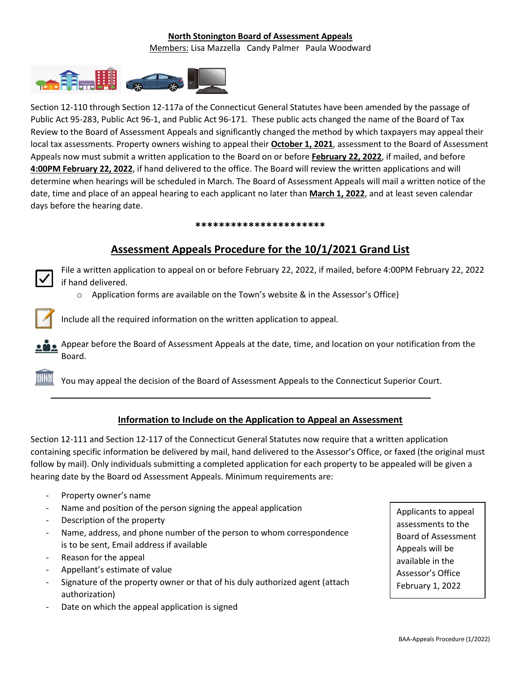### **North Stonington Board of Assessment Appeals** Members: Lisa Mazzella Candy Palmer Paula Woodward



Section 12-110 through Section 12-117a of the Connecticut General Statutes have been amended by the passage of Public Act 95-283, Public Act 96-1, and Public Act 96-171. These public acts changed the name of the Board of Tax Review to the Board of Assessment Appeals and significantly changed the method by which taxpayers may appeal their local tax assessments. Property owners wishing to appeal their **October 1, 2021**, assessment to the Board of Assessment Appeals now must submit a written application to the Board on or before **February 22, 2022**, if mailed, and before **4:00PM February 22, 2022**, if hand delivered to the office. The Board will review the written applications and will determine when hearings will be scheduled in March. The Board of Assessment Appeals will mail a written notice of the date, time and place of an appeal hearing to each applicant no later than **March 1, 2022**, and at least seven calendar days before the hearing date.

#### **\*\*\*\*\*\*\*\*\*\*\*\*\*\*\*\*\*\*\*\*\*\***

# **Assessment Appeals Procedure for the 10/1/2021 Grand List**

File a written application to appeal on or before February 22, 2022, if mailed, before 4:00PM February 22, 2022 if hand delivered.

 $\circ$  Application forms are available on the Town's website & in the Assessor's Office)



Include all the required information on the written application to appeal.

Appear before the Board of Assessment Appeals at the date, time, and location on your notification from the Board.

You may appeal the decision of the Board of Assessment Appeals to the Connecticut Superior Court.

### **Information to Include on the Application to Appeal an Assessment**

Section 12-111 and Section 12-117 of the Connecticut General Statutes now require that a written application containing specific information be delivered by mail, hand delivered to the Assessor's Office, or faxed (the original must follow by mail). Only individuals submitting a completed application for each property to be appealed will be given a hearing date by the Board od Assessment Appeals. Minimum requirements are:

- Property owner's name
- Name and position of the person signing the appeal application
- Description of the property
- Name, address, and phone number of the person to whom correspondence is to be sent, Email address if available
- Reason for the appeal
- Appellant's estimate of value
- Signature of the property owner or that of his duly authorized agent (attach authorization)
- Date on which the appeal application is signed

Applicants to appeal assessments to the Board of Assessment Appeals will be available in the Assessor's Office February 1, 2022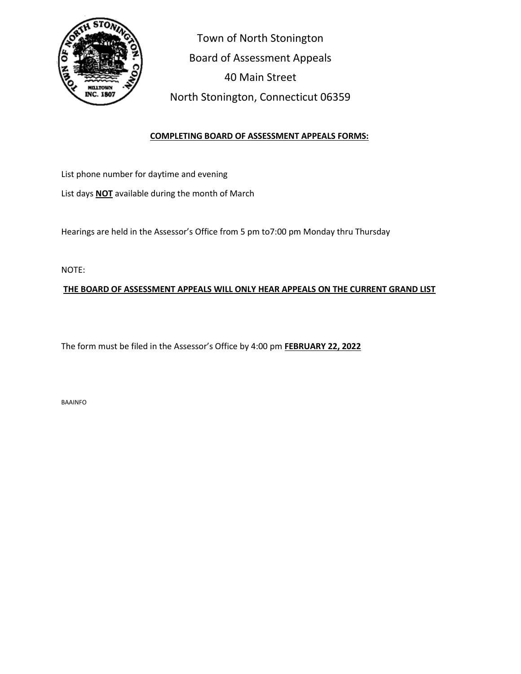

 Town of North Stonington Board of Assessment Appeals 40 Main Street North Stonington, Connecticut 06359

## **COMPLETING BOARD OF ASSESSMENT APPEALS FORMS:**

List phone number for daytime and evening

List days **NOT** available during the month of March

Hearings are held in the Assessor's Office from 5 pm to7:00 pm Monday thru Thursday

NOTE:

**THE BOARD OF ASSESSMENT APPEALS WILL ONLY HEAR APPEALS ON THE CURRENT GRAND LIST**

The form must be filed in the Assessor's Office by 4:00 pm **FEBRUARY 22, 2022**

BAAINFO